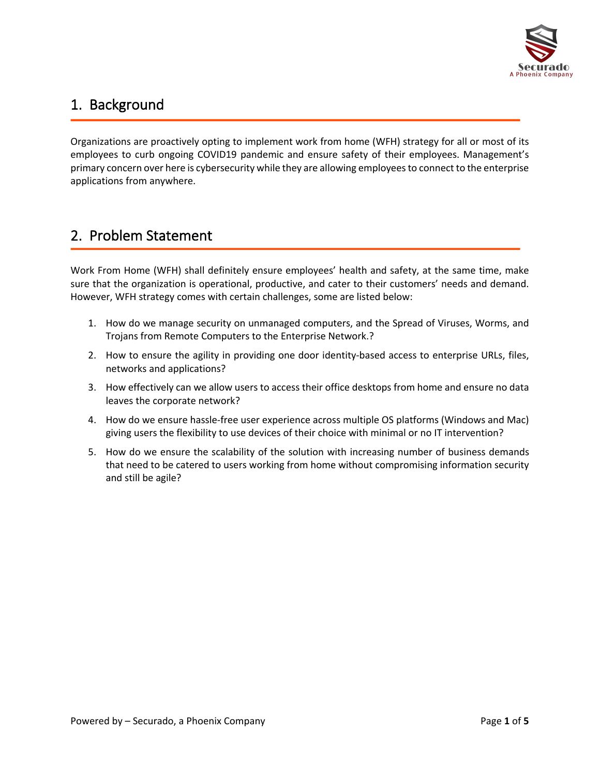

### 1. Background

Organizations are proactively opting to implement work from home (WFH) strategy for all or most of its employees to curb ongoing COVID19 pandemic and ensure safety of their employees. Management's primary concern over here is cybersecurity while they are allowing employees to connect to the enterprise applications from anywhere.

### 2. Problem Statement

Work From Home (WFH) shall definitely ensure employees' health and safety, at the same time, make sure that the organization is operational, productive, and cater to their customers' needs and demand. However, WFH strategy comes with certain challenges, some are listed below:

- 1. How do we manage security on unmanaged computers, and the Spread of Viruses, Worms, and Trojans from Remote Computers to the Enterprise Network.?
- 2. How to ensure the agility in providing one door identity-based access to enterprise URLs, files, networks and applications?
- 3. How effectively can we allow users to access their office desktops from home and ensure no data leaves the corporate network?
- 4. How do we ensure hassle-free user experience across multiple OS platforms (Windows and Mac) giving users the flexibility to use devices of their choice with minimal or no IT intervention?
- 5. How do we ensure the scalability of the solution with increasing number of business demands that need to be catered to users working from home without compromising information security and still be agile?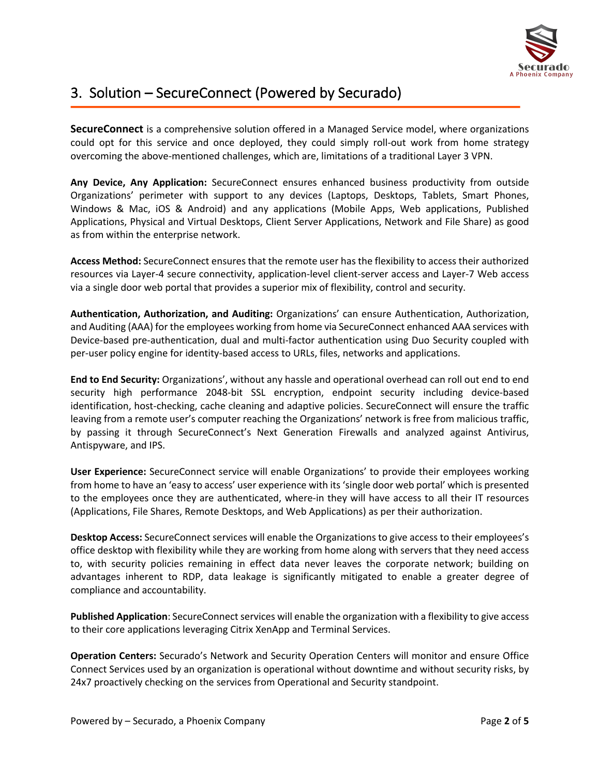

# 3. Solution – SecureConnect (Powered by Securado)

**SecureConnect** is a comprehensive solution offered in a Managed Service model, where organizations could opt for this service and once deployed, they could simply roll-out work from home strategy overcoming the above-mentioned challenges, which are, limitations of a traditional Layer 3 VPN.

**Any Device, Any Application:** SecureConnect ensures enhanced business productivity from outside Organizations' perimeter with support to any devices (Laptops, Desktops, Tablets, Smart Phones, Windows & Mac, iOS & Android) and any applications (Mobile Apps, Web applications, Published Applications, Physical and Virtual Desktops, Client Server Applications, Network and File Share) as good as from within the enterprise network.

**Access Method:** SecureConnect ensures that the remote user has the flexibility to access their authorized resources via Layer-4 secure connectivity, application-level client-server access and Layer-7 Web access via a single door web portal that provides a superior mix of flexibility, control and security.

**Authentication, Authorization, and Auditing:** Organizations' can ensure Authentication, Authorization, and Auditing (AAA) for the employees working from home via SecureConnect enhanced AAA services with Device-based pre-authentication, dual and multi-factor authentication using Duo Security coupled with per-user policy engine for identity-based access to URLs, files, networks and applications.

**End to End Security:** Organizations', without any hassle and operational overhead can roll out end to end security high performance 2048-bit SSL encryption, endpoint security including device-based identification, host-checking, cache cleaning and adaptive policies. SecureConnect will ensure the traffic leaving from a remote user's computer reaching the Organizations' network is free from malicious traffic, by passing it through SecureConnect's Next Generation Firewalls and analyzed against Antivirus, Antispyware, and IPS.

**User Experience:** SecureConnect service will enable Organizations' to provide their employees working from home to have an 'easy to access' user experience with its 'single door web portal' which is presented to the employees once they are authenticated, where-in they will have access to all their IT resources (Applications, File Shares, Remote Desktops, and Web Applications) as per their authorization.

**Desktop Access:** SecureConnect services will enable the Organizations to give access to their employees's office desktop with flexibility while they are working from home along with servers that they need access to, with security policies remaining in effect data never leaves the corporate network; building on advantages inherent to RDP, data leakage is significantly mitigated to enable a greater degree of compliance and accountability.

**Published Application**: SecureConnect services will enable the organization with a flexibility to give access to their core applications leveraging Citrix XenApp and Terminal Services.

**Operation Centers:** Securado's Network and Security Operation Centers will monitor and ensure Office Connect Services used by an organization is operational without downtime and without security risks, by 24x7 proactively checking on the services from Operational and Security standpoint.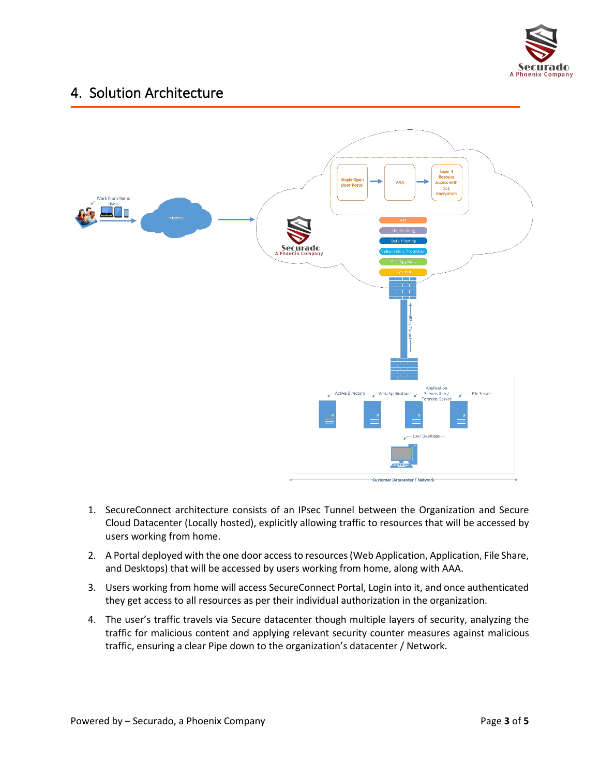

### 4. Solution Architecture



- 1. SecureConnect architecture consists of an IPsec Tunnel between the Organization and Secure Cloud Datacenter (Locally hosted), explicitly allowing traffic to resources that will be accessed by users working from home.
- 2. A Portal deployed with the one door access to resources (Web Application, Application, File Share, and Desktops) that will be accessed by users working from home, along with AAA.
- 3. Users working from home will access SecureConnect Portal, Login into it, and once authenticated they get access to all resources as per their individual authorization in the organization.
- 4. The user's traffic travels via Secure datacenter though multiple layers of security, analyzing the traffic for malicious content and applying relevant security counter measures against malicious traffic, ensuring a clear Pipe down to the organization's datacenter / Network.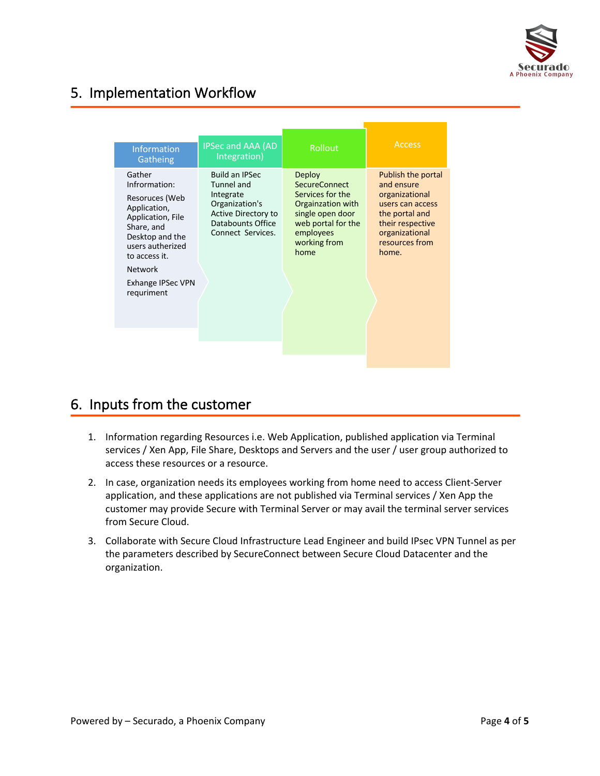

# 5. Implementation Workflow

|                                                                                                                                                                                                           |                                                                                                                                     |                                                                                                                                                               | <b>Access</b>                                                                                                                                             |
|-----------------------------------------------------------------------------------------------------------------------------------------------------------------------------------------------------------|-------------------------------------------------------------------------------------------------------------------------------------|---------------------------------------------------------------------------------------------------------------------------------------------------------------|-----------------------------------------------------------------------------------------------------------------------------------------------------------|
| <b>Information</b><br>Gatheing                                                                                                                                                                            | <b>IPSec and AAA (AD</b><br>Integration)                                                                                            | <b>Rollout</b>                                                                                                                                                |                                                                                                                                                           |
| Gather<br>Infrormation:<br>Resoruces (Web<br>Application,<br>Application, File<br>Share, and<br>Desktop and the<br>users autherized<br>to access it.<br><b>Network</b><br>Exhange IPSec VPN<br>requriment | <b>Build an IPSec</b><br>Tunnel and<br>Integrate<br>Organization's<br>Active Directory to<br>Databounts Office<br>Connect Services. | <b>Deploy</b><br><b>SecureConnect</b><br>Services for the<br>Orgainzation with<br>single open door<br>web portal for the<br>employees<br>working from<br>home | Publish the portal<br>and ensure<br>organizational<br>users can access<br>the portal and<br>their respective<br>organizational<br>resources from<br>home. |
|                                                                                                                                                                                                           |                                                                                                                                     |                                                                                                                                                               |                                                                                                                                                           |

### 6. Inputs from the customer

- 1. Information regarding Resources i.e. Web Application, published application via Terminal services / Xen App, File Share, Desktops and Servers and the user / user group authorized to access these resources or a resource.
- 2. In case, organization needs its employees working from home need to access Client-Server application, and these applications are not published via Terminal services / Xen App the customer may provide Secure with Terminal Server or may avail the terminal server services from Secure Cloud.
- 3. Collaborate with Secure Cloud Infrastructure Lead Engineer and build IPsec VPN Tunnel as per the parameters described by SecureConnect between Secure Cloud Datacenter and the organization.